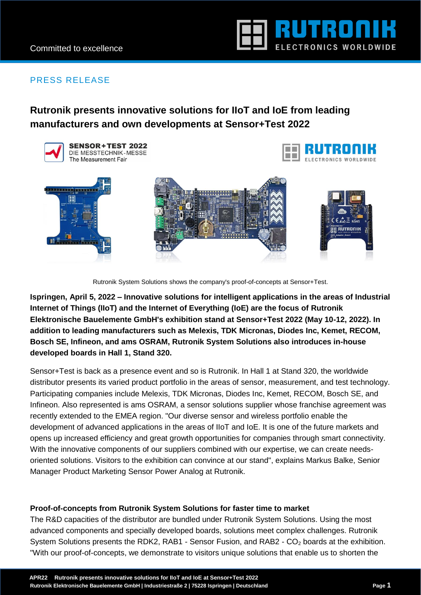

## PRESS RELEASE

# **Rutronik presents innovative solutions for IIoT and IoE from leading manufacturers and own developments at Sensor+Test 2022**



Rutronik System Solutions shows the company's proof-of-concepts at Sensor+Test.

**Ispringen, April 5, 2022 – Innovative solutions for intelligent applications in the areas of Industrial Internet of Things (IIoT) and the Internet of Everything (IoE) are the focus of Rutronik Elektronische Bauelemente GmbH's exhibition stand at Sensor+Test 2022 (May 10-12, 2022). In addition to leading manufacturers such as Melexis, TDK Micronas, Diodes Inc, Kemet, RECOM, Bosch SE, Infineon, and ams OSRAM, Rutronik System Solutions also introduces in-house developed boards in Hall 1, Stand 320.**

Sensor+Test is back as a presence event and so is Rutronik. In Hall 1 at Stand 320, the worldwide distributor presents its varied product portfolio in the areas of sensor, measurement, and test technology. Participating companies include Melexis, TDK Micronas, Diodes Inc, Kemet, RECOM, Bosch SE, and Infineon. Also represented is ams OSRAM, a sensor solutions supplier whose franchise agreement was recently extended to the EMEA region. "Our diverse sensor and wireless portfolio enable the development of advanced applications in the areas of IIoT and IoE. It is one of the future markets and opens up increased efficiency and great growth opportunities for companies through smart connectivity. With the innovative components of our suppliers combined with our expertise, we can create needsoriented solutions. Visitors to the exhibition can convince at our stand", explains Markus Balke, Senior Manager Product Marketing Sensor Power Analog at Rutronik.

### **Proof-of-concepts from Rutronik System Solutions for faster time to market**

The R&D capacities of the distributor are bundled under Rutronik System Solutions. Using the most advanced components and specially developed boards, solutions meet complex challenges. Rutronik System Solutions presents the RDK2, RAB1 - Sensor Fusion, and RAB2 - CO<sub>2</sub> boards at the exhibition. "With our proof-of-concepts, we demonstrate to visitors unique solutions that enable us to shorten the